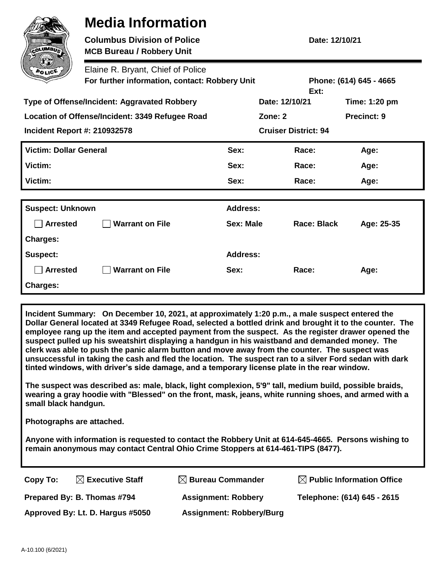| <b>OLUMBUS</b><br>POLICE                            | <b>Media Information</b><br><b>Columbus Division of Police</b><br><b>MCB Bureau / Robbery Unit</b> | Date: 12/10/21  |                                 |                    |  |
|-----------------------------------------------------|----------------------------------------------------------------------------------------------------|-----------------|---------------------------------|--------------------|--|
|                                                     | Elaine R. Bryant, Chief of Police<br>For further information, contact: Robbery Unit                |                 | Phone: (614) 645 - 4665<br>Ext: |                    |  |
| <b>Type of Offense/Incident: Aggravated Robbery</b> |                                                                                                    |                 | Date: 12/10/21                  | Time: 1:20 pm      |  |
| Location of Offense/Incident: 3349 Refugee Road     |                                                                                                    |                 | Zone: 2                         | <b>Precinct: 9</b> |  |
| <b>Incident Report #: 210932578</b>                 |                                                                                                    |                 | <b>Cruiser District: 94</b>     |                    |  |
| <b>Victim: Dollar General</b>                       |                                                                                                    | Sex:            | Race:                           | Age:               |  |
| Victim:                                             |                                                                                                    | Sex:            | Race:                           | Age:               |  |
| Victim:                                             |                                                                                                    | Sex:            | Race:                           | Age:               |  |
| <b>Suspect: Unknown</b>                             |                                                                                                    | <b>Address:</b> |                                 |                    |  |
| <b>Arrested</b>                                     | <b>Warrant on File</b>                                                                             | Sex: Male       | <b>Race: Black</b>              | Age: 25-35         |  |
| <b>Charges:</b>                                     |                                                                                                    |                 |                                 |                    |  |
| <b>Suspect:</b>                                     |                                                                                                    | <b>Address:</b> |                                 |                    |  |
| <b>Arrested</b>                                     | <b>Warrant on File</b>                                                                             | Sex:            | Race:                           | Age:               |  |
| <b>Charges:</b>                                     |                                                                                                    |                 |                                 |                    |  |

**Incident Summary: On December 10, 2021, at approximately 1:20 p.m., a male suspect entered the Dollar General located at 3349 Refugee Road, selected a bottled drink and brought it to the counter. The employee rang up the item and accepted payment from the suspect. As the register drawer opened the suspect pulled up his sweatshirt displaying a handgun in his waistband and demanded money. The clerk was able to push the panic alarm button and move away from the counter. The suspect was unsuccessful in taking the cash and fled the location. The suspect ran to a silver Ford sedan with dark tinted windows, with driver's side damage, and a temporary license plate in the rear window.**

**The suspect was described as: male, black, light complexion, 5'9" tall, medium build, possible braids, wearing a gray hoodie with "Blessed" on the front, mask, jeans, white running shoes, and armed with a small black handgun.**

**Photographs are attached.**

| Anyone with information is requested to contact the Robbery Unit at 614-645-4665. Persons wishing to |  |
|------------------------------------------------------------------------------------------------------|--|
| remain anonymous may contact Central Ohio Crime Stoppers at 614-461-TIPS (8477).                     |  |

| Copy To:                         | $\boxtimes$ Executive Staff | $\boxtimes$ Bureau Commander    | $\boxtimes$ Public Information Office |
|----------------------------------|-----------------------------|---------------------------------|---------------------------------------|
| Prepared By: B. Thomas #794      |                             | <b>Assignment: Robbery</b>      | Telephone: (614) 645 - 2615           |
| Approved By: Lt. D. Hargus #5050 |                             | <b>Assignment: Robbery/Burg</b> |                                       |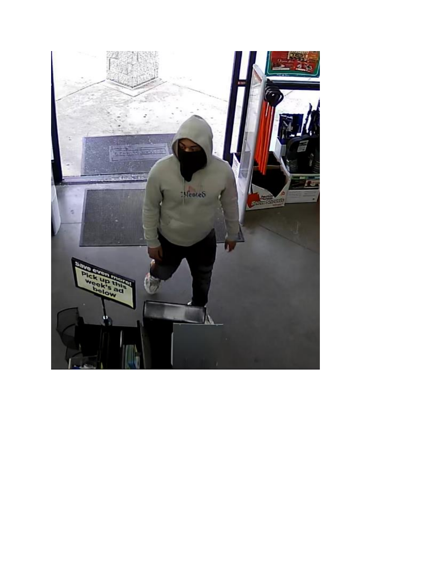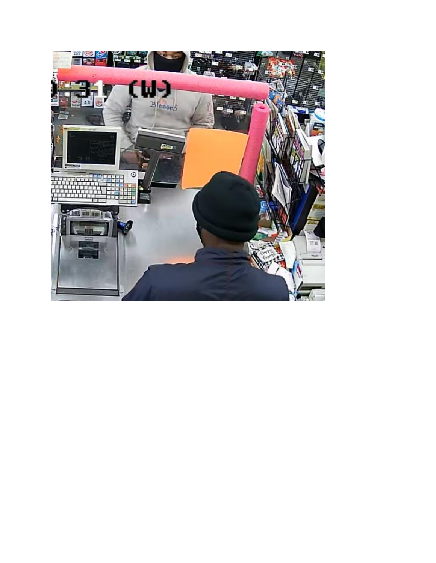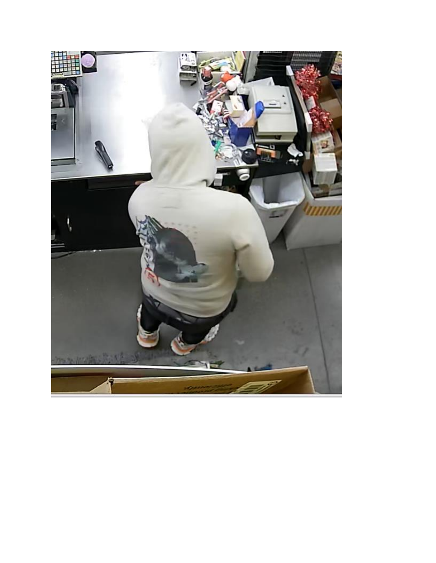